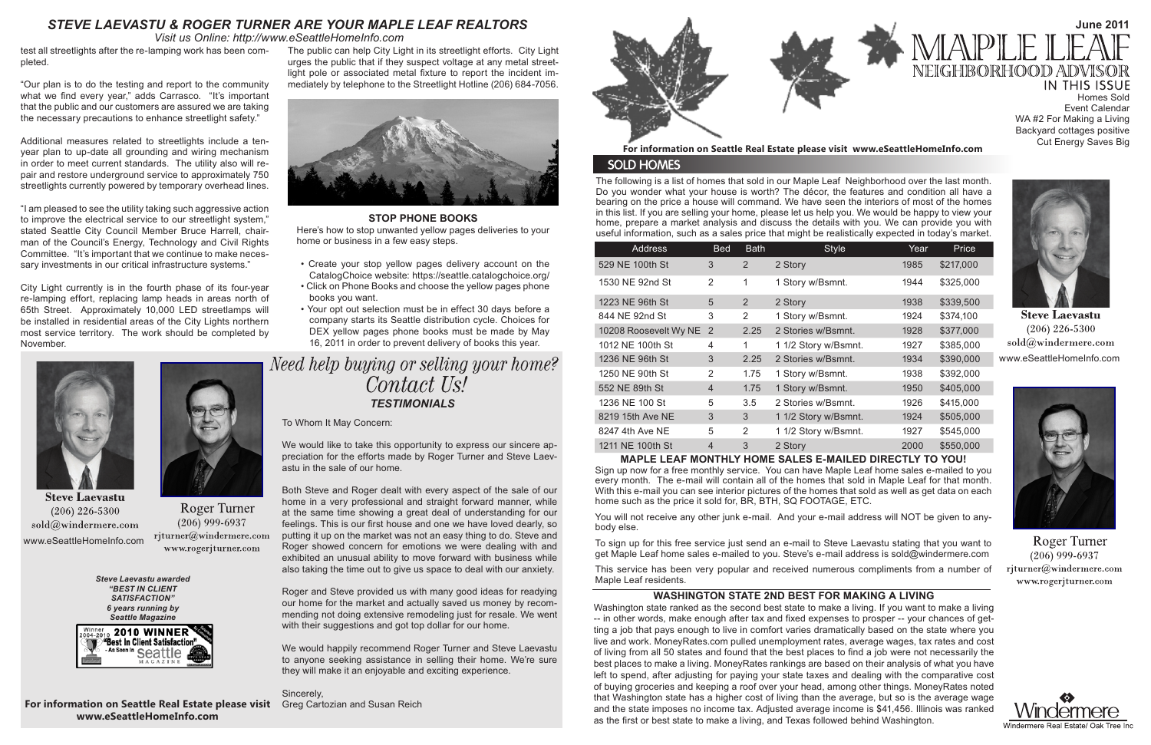**June 2011**

The following is a list of homes that sold in our Maple Leaf Neighborhood over the last month. Do you wonder what your house is worth? The décor, the features and condition all have a bearing on the price a house will command. We have seen the interiors of most of the homes in this list. If you are selling your home, please let us help you. We would be happy to view your home, prepare a market analysis and discuss the details with you. We can provide you with useful information, such as a sales price that might be realistically expected in today's market.

You will not receive any other junk e-mail. And your e-mail address will NOT be given to anybody else.

*Visit us Online: http://www.eSeattleHomeInfo.com*

# *STEVE LAEVASTU & ROGER TURNER ARE YOUR MAPLE LEAF REALTORS*

# **MAPLE LEAF MONTHLY HOME SALES E-MAILED DIRECTLY TO YOU!**

# NEIGHBORHOO **IN THIS ISSUE** Homes Sold Event Calendar WA #2 For Making a Living Backyard cottages positive Cut Energy Saves Big

Sign up now for a free monthly service. You can have Maple Leaf home sales e-mailed to you every month. The e-mail will contain all of the homes that sold in Maple Leaf for that month. With this e-mail you can see interior pictures of the homes that sold as well as get data on each home such as the price it sold for, BR, BTH, SQ FOOTAGE, ETC.



**Steve Laevastu**  $(206)$  226-5300  $\mathrm{sold} @$ windermere.com www.eSeattleHomeInfo.com



**Roger Turner**  $(206)$  999-6937 rjturner@windermere.com www.rogerjturner.com





**Steve Laevastu**  $(206)$  226-5300 sold@windermere.com www.eSeattleHomeInfo.com



**Roger Turner**  $(206)$  999-6937 rjturner@windermere.com www.rogerjturner.com

Need help buying or selling your home? Contact Us! *TESTIMONIALS*

> To sign up for this free service just send an e-mail to Steve Laevastu stating that you want to get Maple Leaf home sales e-mailed to you. Steve's e-mail address is sold@windermere.com

> This service has been very popular and received numerous compliments from a number of Maple Leaf residents.

| <b>Address</b>          | <b>Bed</b>     | <b>Bath</b> | <b>Style</b>         | Year | Price     |
|-------------------------|----------------|-------------|----------------------|------|-----------|
| 529 NE 100th St         | 3              | 2           | 2 Story              | 1985 | \$217,000 |
| 1530 NE 92nd St         | 2              | 1           | 1 Story w/Bsmnt.     | 1944 | \$325,000 |
| 1223 NE 96th St         | 5              | 2           | 2 Story              | 1938 | \$339,500 |
| 844 NE 92nd St          | 3              | 2           | 1 Story w/Bsmnt.     | 1924 | \$374,100 |
| 10208 Roosevelt Wy NE 2 |                | 2.25        | 2 Stories w/Bsmnt.   | 1928 | \$377,000 |
| 1012 NE 100th St        | $\overline{4}$ | 1           | 1 1/2 Story w/Bsmnt. | 1927 | \$385,000 |
| 1236 NE 96th St         | 3              | 2.25        | 2 Stories w/Bsmnt.   | 1934 | \$390,000 |
| 1250 NE 90th St         | 2              | 1.75        | 1 Story w/Bsmnt.     | 1938 | \$392,000 |
| 552 NE 89th St          | $\overline{4}$ | 1.75        | 1 Story w/Bsmnt.     | 1950 | \$405,000 |
| 1236 NE 100 St          | 5              | 3.5         | 2 Stories w/Bsmnt.   | 1926 | \$415,000 |
| 8219 15th Ave NE        | 3              | 3           | 1 1/2 Story w/Bsmnt. | 1924 | \$505,000 |
| 8247 4th Ave NE         | 5              | 2           | 1 1/2 Story w/Bsmnt. | 1927 | \$545,000 |
| 1211 NE 100th St        | $\overline{4}$ | 3           | 2 Story              | 2000 | \$550,000 |

*Steve Laevastu awarded "BEST IN CLIENT SATISFACTION" 6 years running by Seattle Magazine*



## **For information on Seattle Real Estate please visit www.eSeattleHomeInfo.com**

# **SOLD HOMES**

**For information on Seattle Real Estate please visit**  Greg Cartozian and Susan Reich**www.eSeattleHomeInfo.com**

# **WASHINGTON STATE 2ND BEST FOR MAKING A LIVING**

Washington state ranked as the second best state to make a living. If you want to make a living -- in other words, make enough after tax and fixed expenses to prosper -- your chances of getting a job that pays enough to live in comfort varies dramatically based on the state where you live and work. MoneyRates.com pulled unemployment rates, average wages, tax rates and cost of living from all 50 states and found that the best places to find a job were not necessarily the best places to make a living. MoneyRates rankings are based on their analysis of what you have left to spend, after adjusting for paying your state taxes and dealing with the comparative cost of buying groceries and keeping a roof over your head, among other things. MoneyRates noted that Washington state has a higher cost of living than the average, but so is the average wage and the state imposes no income tax. Adjusted average income is \$41,456. Illinois was ranked as the first or best state to make a living, and Texas followed behind Washington.



Roger and Steve provided us with many good ideas for readying our home for the market and actually saved us money by recommending not doing extensive remodeling just for resale. We went with their suggestions and got top dollar for our home.

## **STOP PHONE BOOKS**

Here's how to stop unwanted yellow pages deliveries to your home or business in a few easy steps.

- Create your stop yellow pages delivery account on the CatalogChoice website: https://seattle.catalogchoice.org/
- Click on Phone Books and choose the yellow pages phone books you want.
- Your opt out selection must be in effect 30 days before a company starts its Seattle distribution cycle. Choices for DEX yellow pages phone books must be made by May 16, 2011 in order to prevent delivery of books this year.

test all streetlights after the re-lamping work has been completed.

"Our plan is to do the testing and report to the community what we find every year," adds Carrasco. "It's important that the public and our customers are assured we are taking the necessary precautions to enhance streetlight safety."

Additional measures related to streetlights include a tenyear plan to up-date all grounding and wiring mechanism in order to meet current standards. The utility also will repair and restore underground service to approximately 750 streetlights currently powered by temporary overhead lines.

"I am pleased to see the utility taking such aggressive action to improve the electrical service to our streetlight system," stated Seattle City Council Member Bruce Harrell, chairman of the Council's Energy, Technology and Civil Rights Committee. "It's important that we continue to make necessary investments in our critical infrastructure systems."

City Light currently is in the fourth phase of its four-year re-lamping effort, replacing lamp heads in areas north of 65th Street. Approximately 10,000 LED streetlamps will be installed in residential areas of the City Lights northern most service territory. The work should be completed by November.

The public can help City Light in its streetlight efforts. City Light urges the public that if they suspect voltage at any metal streetlight pole or associated metal fixture to report the incident immediately by telephone to the Streetlight Hotline (206) 684-7056.



To Whom It May Concern:

We would like to take this opportunity to express our sincere appreciation for the efforts made by Roger Turner and Steve Laevastu in the sale of our home.

Both Steve and Roger dealt with every aspect of the sale of our home in a very professional and straight forward manner, while at the same time showing a great deal of understanding for our feelings. This is our first house and one we have loved dearly, so putting it up on the market was not an easy thing to do. Steve and Roger showed concern for emotions we were dealing with and exhibited an unusual ability to move forward with business while also taking the time out to give us space to deal with our anxiety.

We would happily recommend Roger Turner and Steve Laevastu to anyone seeking assistance in selling their home. We're sure they will make it an enjoyable and exciting experience.

Sincerely,